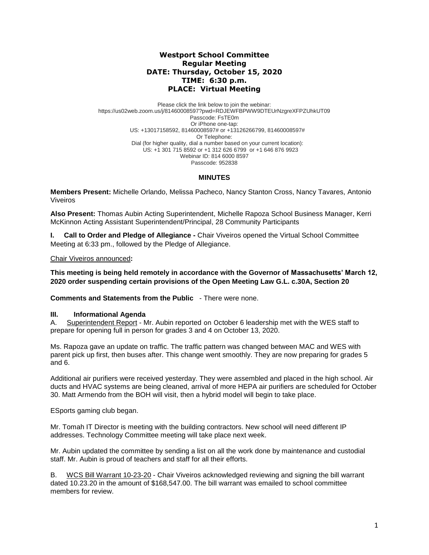# **Westport School Committee Regular Meeting DATE: Thursday, October 15, 2020 TIME: 6:30 p.m. PLACE: Virtual Meeting**

Please click the link below to join the webinar: https://us02web.zoom.us/j/81460008597?pwd=RDJEWFBPWW9DTEUrNzgreXFPZUhkUT09 Passcode: FsTE0m Or iPhone one-tap: US: +13017158592, 81460008597# or +13126266799, 81460008597# Or Telephone: Dial (for higher quality, dial a number based on your current location): US: +1 301 715 8592 or +1 312 626 6799 or +1 646 876 9923 Webinar ID: 814 6000 8597 Passcode: 952838

# **MINUTES**

**Members Present:** Michelle Orlando, Melissa Pacheco, Nancy Stanton Cross, Nancy Tavares*,* Antonio Viveiros

**Also Present:** Thomas Aubin Acting Superintendent, Michelle Rapoza School Business Manager, Kerri McKinnon Acting Assistant Superintendent/Principal, 28 Community Participants

**I. Call to Order and Pledge of Allegiance -** Chair Viveiros opened the Virtual School Committee Meeting at 6:33 pm., followed by the Pledge of Allegiance.

Chair Viveiros announced**:** 

**This meeting is being held remotely in accordance with the Governor of Massachusetts' March 12, 2020 order suspending certain provisions of the Open Meeting Law G.L. c.30A, Section 20**

**Comments and Statements from the Public** - There were none.

### **III. Informational Agenda**

A. Superintendent Report - Mr. Aubin reported on October 6 leadership met with the WES staff to prepare for opening full in person for grades 3 and 4 on October 13, 2020.

Ms. Rapoza gave an update on traffic. The traffic pattern was changed between MAC and WES with parent pick up first, then buses after. This change went smoothly. They are now preparing for grades 5 and 6.

Additional air purifiers were received yesterday. They were assembled and placed in the high school. Air ducts and HVAC systems are being cleaned, arrival of more HEPA air purifiers are scheduled for October 30. Matt Armendo from the BOH will visit, then a hybrid model will begin to take place.

ESports gaming club began.

Mr. Tomah IT Director is meeting with the building contractors. New school will need different IP addresses. Technology Committee meeting will take place next week.

Mr. Aubin updated the committee by sending a list on all the work done by maintenance and custodial staff. Mr. Aubin is proud of teachers and staff for all their efforts.

B. WCS Bill Warrant 10-23-20 - Chair Viveiros acknowledged reviewing and signing the bill warrant dated 10.23.20 in the amount of \$168,547.00. The bill warrant was emailed to school committee members for review.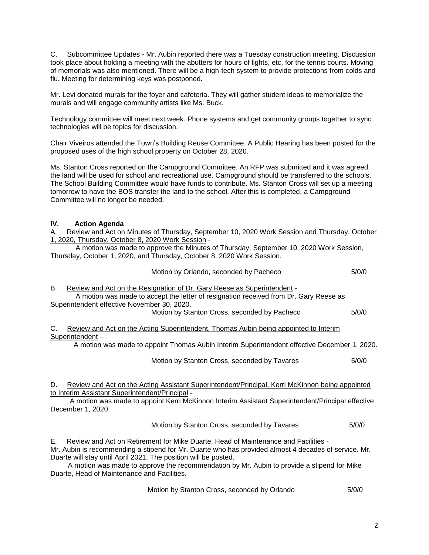C. Subcommittee Updates - Mr. Aubin reported there was a Tuesday construction meeting. Discussion took place about holding a meeting with the abutters for hours of lights, etc. for the tennis courts. Moving of memorials was also mentioned. There will be a high-tech system to provide protections from colds and flu. Meeting for determining keys was postponed.

Mr. Levi donated murals for the foyer and cafeteria. They will gather student ideas to memorialize the murals and will engage community artists like Ms. Buck.

Technology committee will meet next week. Phone systems and get community groups together to sync technologies will be topics for discussion.

Chair Viveiros attended the Town's Building Reuse Committee. A Public Hearing has been posted for the proposed uses of the high school property on October 28, 2020.

Ms. Stanton Cross reported on the Campground Committee. An RFP was submitted and it was agreed the land will be used for school and recreational use. Campground should be transferred to the schools. The School Building Committee would have funds to contribute. Ms. Stanton Cross will set up a meeting tomorrow to have the BOS transfer the land to the school. After this is completed, a Campground Committee will no longer be needed.

# **IV. Action Agenda**

A. Review and Act on Minutes of Thursday, September 10, 2020 Work Session and Thursday, October 1, 2020, Thursday, October 8, 2020 Work Session -

A motion was made to approve the Minutes of Thursday, September 10, 2020 Work Session, Thursday, October 1, 2020, and Thursday, October 8, 2020 Work Session.

|    | Motion by Orlando, seconded by Pacheco                                                                                                                           | 5/0/0 |
|----|------------------------------------------------------------------------------------------------------------------------------------------------------------------|-------|
| В. | Review and Act on the Resignation of Dr. Gary Reese as Superintendent -<br>A motion was made to accept the letter of resignation received from Dr. Gary Reese as |       |
|    | Superintendent effective November 30, 2020.<br>Motion by Stanton Cross, seconded by Pacheco                                                                      | 5/0/0 |
| C. | Review and Act on the Acting Superintendent, Thomas Aubin being appointed to Interim<br>Superintendent -                                                         |       |
|    | A motion was made to appoint Thomas Aubin Interim Superintendent effective December 1, 2020.                                                                     |       |
|    | Motion by Stanton Cross, seconded by Tavares                                                                                                                     | 5/0/0 |
| D. | Review and Act on the Acting Assistant Superintendent/Principal, Kerri McKinnon being appointed<br>to Interim Assistant Superintendent/Principal -               |       |

 A motion was made to appoint Kerri McKinnon Interim Assistant Superintendent/Principal effective December 1, 2020.

Motion by Stanton Cross, seconded by Tavares 6/0/0

E. Review and Act on Retirement for Mike Duarte, Head of Maintenance and Facilities -

Mr. Aubin is recommending a stipend for Mr. Duarte who has provided almost 4 decades of service. Mr. Duarte will stay until April 2021. The position will be posted.

 A motion was made to approve the recommendation by Mr. Aubin to provide a stipend for Mike Duarte, Head of Maintenance and Facilities.

Motion by Stanton Cross, seconded by Orlando 5/0/0